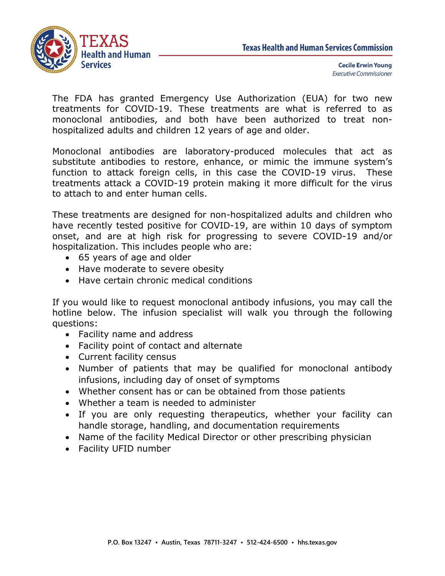

The FDA has granted Emergency Use Authorization (EUA) for two new treatments for COVID-19. These treatments are what is referred to as monoclonal antibodies, and both have been authorized to treat nonhospitalized adults and children 12 years of age and older.

Monoclonal antibodies are laboratory-produced molecules that act as substitute antibodies to restore, enhance, or mimic the immune system's function to attack foreign cells, in this case the COVID-19 virus. These treatments attack a COVID-19 protein making it more difficult for the virus to attach to and enter human cells.

These treatments are designed for non-hospitalized adults and children who have recently tested positive for COVID-19, are within 10 days of symptom onset, and are at high risk for progressing to severe COVID-19 and/or hospitalization. This includes people who are:

- 65 years of age and older
- Have moderate to severe obesity
- Have certain chronic medical conditions

If you would like to request monoclonal antibody infusions, you may call the hotline below. The infusion specialist will walk you through the following questions:

- Facility name and address
- Facility point of contact and alternate
- Current facility census
- Number of patients that may be qualified for monoclonal antibody infusions, including day of onset of symptoms
- Whether consent has or can be obtained from those patients
- Whether a team is needed to administer
- If you are only requesting therapeutics, whether your facility can handle storage, handling, and documentation requirements
- Name of the facility Medical Director or other prescribing physician
- Facility UFID number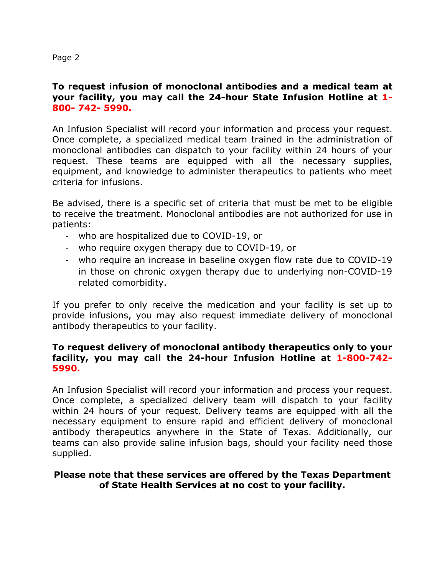Page 2

## **To request infusion of monoclonal antibodies and a medical team at your facility, you may call the 24-hour State Infusion Hotline at 1- 800- 742- 5990.**

An Infusion Specialist will record your information and process your request. Once complete, a specialized medical team trained in the administration of monoclonal antibodies can dispatch to your facility within 24 hours of your request. These teams are equipped with all the necessary supplies, equipment, and knowledge to administer therapeutics to patients who meet criteria for infusions.

Be advised, there is a specific set of criteria that must be met to be eligible to receive the treatment. Monoclonal antibodies are not authorized for use in patients:

- who are hospitalized due to COVID-19, or
- who require oxygen therapy due to COVID-19, or
- who require an increase in baseline oxygen flow rate due to COVID-19 in those on chronic oxygen therapy due to underlying non-COVID-19 related comorbidity.

If you prefer to only receive the medication and your facility is set up to provide infusions, you may also request immediate delivery of monoclonal antibody therapeutics to your facility.

## **To request delivery of monoclonal antibody therapeutics only to your facility, you may call the 24-hour Infusion Hotline at 1-800-742- 5990.**

An Infusion Specialist will record your information and process your request. Once complete, a specialized delivery team will dispatch to your facility within 24 hours of your request. Delivery teams are equipped with all the necessary equipment to ensure rapid and efficient delivery of monoclonal antibody therapeutics anywhere in the State of Texas. Additionally, our teams can also provide saline infusion bags, should your facility need those supplied.

## **Please note that these services are offered by the Texas Department of State Health Services at no cost to your facility.**